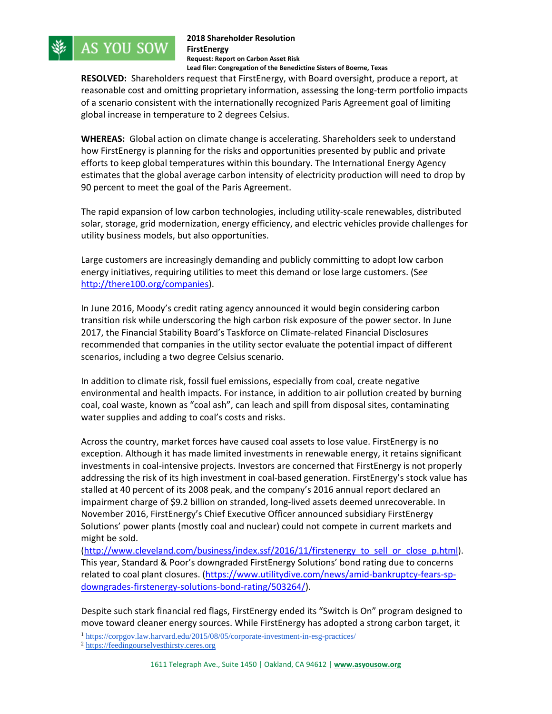

**RESOLVED:** Shareholders request that FirstEnergy, with Board oversight, produce a report, at reasonable cost and omitting proprietary information, assessing the long-term portfolio impacts of a scenario consistent with the internationally recognized Paris Agreement goal of limiting global increase in temperature to 2 degrees Celsius.

**WHEREAS:** Global action on climate change is accelerating. Shareholders seek to understand how FirstEnergy is planning for the risks and opportunities presented by public and private efforts to keep global temperatures within this boundary. The International Energy Agency estimates that the global average carbon intensity of electricity production will need to drop by 90 percent to meet the goal of the Paris Agreement.

The rapid expansion of low carbon technologies, including utility-scale renewables, distributed solar, storage, grid modernization, energy efficiency, and electric vehicles provide challenges for utility business models, but also opportunities.

Large customers are increasingly demanding and publicly committing to adopt low carbon energy initiatives, requiring utilities to meet this demand or lose large customers. (S*ee*  [http://there100.org/companies\)](http://there100.org/companies).

In June 2016, Moody's credit rating agency announced it would begin considering carbon transition risk while underscoring the high carbon risk exposure of the power sector. In June 2017, the Financial Stability Board's Taskforce on Climate-related Financial Disclosures recommended that companies in the utility sector evaluate the potential impact of different scenarios, including a two degree Celsius scenario.

In addition to climate risk, fossil fuel emissions, especially from coal, create negative environmental and health impacts. For instance, in addition to air pollution created by burning coal, coal waste, known as "coal ash", can leach and spill from disposal sites, contaminating water supplies and adding to coal's costs and risks.

Across the country, market forces have caused coal assets to lose value. FirstEnergy is no exception. Although it has made limited investments in renewable energy, it retains significant investments in coal-intensive projects. Investors are concerned that FirstEnergy is not properly addressing the risk of its high investment in coal-based generation. FirstEnergy's stock value has stalled at 40 percent of its 2008 peak, and the company's 2016 annual report declared an impairment charge of \$9.2 billion on stranded, long-lived assets deemed unrecoverable. In November 2016, FirstEnergy's Chief Executive Officer announced subsidiary FirstEnergy Solutions' power plants (mostly coal and nuclear) could not compete in current markets and might be sold.

[\(http://www.cleveland.com/business/index.ssf/2016/11/firstenergy\\_to\\_sell\\_or\\_close\\_p.html\)](http://www.cleveland.com/business/index.ssf/2016/11/firstenergy_to_sell_or_close_p.html). This year, Standard & Poor's downgraded FirstEnergy Solutions' bond rating due to concerns related to coal plant closures. [\(https://www.utilitydive.com/news/amid-bankruptcy-fears-sp](https://www.utilitydive.com/news/amid-bankruptcy-fears-sp-downgrades-firstenergy-solutions-bond-rating/503264/)[downgrades-firstenergy-solutions-bond-rating/503264/\)](https://www.utilitydive.com/news/amid-bankruptcy-fears-sp-downgrades-firstenergy-solutions-bond-rating/503264/).

Despite such stark financial red flags, FirstEnergy ended its "Switch is On" program designed to move toward cleaner energy sources. While FirstEnergy has adopted a strong carbon target, it

<sup>1</sup> <https://corpgov.law.harvard.edu/2015/08/05/corporate-investment-in-esg-practices/>

<sup>2</sup> [https://feedingourselvesthirsty.ceres.org](https://feedingourselvesthirsty.ceres.org/)